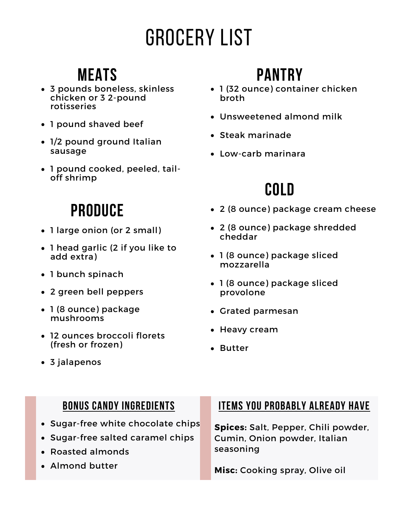# Grocery List

## **Meats**

- 3 pounds boneless, skinless chicken or 3 2-pound rotisseries
- 1 pound shaved beef
- 1/2 pound ground Italian sausage
- 1 pound cooked, peeled, tailoff shrimp

## **Produce**

- 1 large onion (or 2 small)
- 1 head garlic (2 if you like to add extra)
- 1 bunch spinach
- 2 green bell peppers
- 1 (8 ounce) package mushrooms
- 12 ounces broccoli florets (fresh or frozen)

# **Pantry**

- 1 (32 ounce) container chicken broth
- Unsweetened almond milk
- Steak marinade
- Low-carb marinara

# **Cold**

- 2 (8 ounce) package cream cheese
- 2 (8 ounce) package shredded cheddar
- 1 (8 ounce) package sliced mozzarella
- 1 (8 ounce) package sliced provolone
- Grated parmesan
- Heavy cream
- Butter

3 jalapenos

### **Bonus candy ingredients**

- Sugar-free white chocolate chips
- Sugar-free salted caramel chips
- Roasted almonds
- Almond butter

### **Items you probably already have**

**Spices:** Salt, Pepper, Chili powder, Cumin, Onion powder, Italian seasoning

**Misc:** Cooking spray, Olive oil